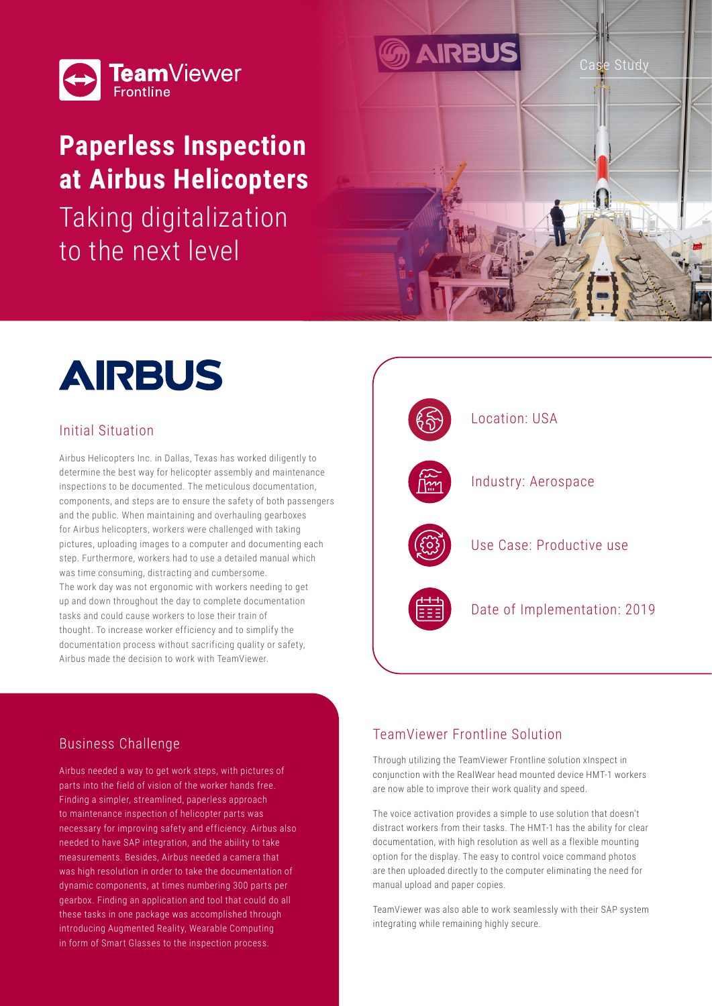

# **Paperless Inspection at Airbus Helicopters**

Taking digitalization to the next level



### Initial Situation

Airbus Helicopters Inc. in Dallas, Texas has worked diligently to determine the best way for helicopter assembly and maintenance inspections to be documented. The meticulous documentation, components, and steps are to ensure the safety of both passengers and the public. When maintaining and overhauling gearboxes for Airbus helicopters, workers were challenged with taking pictures, uploading images to a computer and documenting each step. Furthermore, workers had to use a detailed manual which was time consuming, distracting and cumbersome. The work day was not ergonomic with workers needing to get up and down throughout the day to complete documentation tasks and could cause workers to lose their train of thought. To increase worker efficiency and to simplify the documentation process without sacrificing quality or safety, Airbus made the decision to work with TeamViewer.



Case Study

## Business Challenge

Airbus needed a way to get work steps, with pictures of parts into the field of vision of the worker hands free. Finding a simpler, streamlined, paperless approach to maintenance inspection of helicopter parts was necessary for improving safety and efficiency. Airbus also needed to have SAP integration, and the ability to take measurements. Besides, Airbus needed a camera that was high resolution in order to take the documentation of dynamic components, at times numbering 300 parts per gearbox. Finding an application and tool that could do all these tasks in one package was accomplished through introducing Augmented Reality, Wearable Computing in form of Smart Glasses to the inspection process.

#### TeamViewer Frontline Solution

**AIRBUS** 

Through utilizing the TeamViewer Frontline solution xInspect in conjunction with the RealWear head mounted device HMT-1 workers are now able to improve their work quality and speed.

The voice activation provides a simple to use solution that doesn't distract workers from their tasks. The HMT-1 has the ability for clear documentation, with high resolution as well as a flexible mounting option for the display. The easy to control voice command photos are then uploaded directly to the computer eliminating the need for manual upload and paper copies.

TeamViewer was also able to work seamlessly with their SAP system integrating while remaining highly secure.